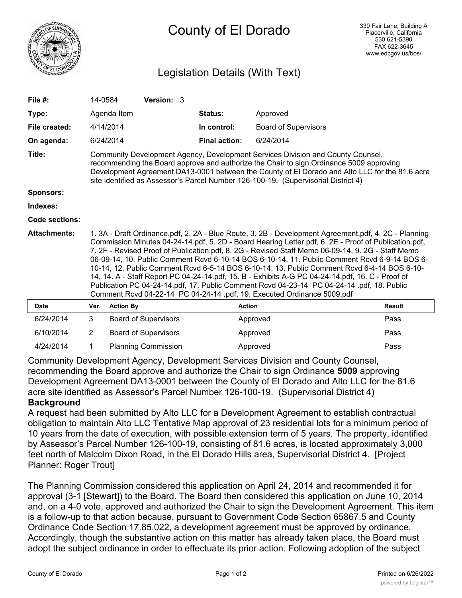

## County of El Dorado

## Legislation Details (With Text)

| File $#$ :          | 14-0584                                                                                                                                                                                                                                                                                                                                                                                                                                                                                                                                                                                                                                                                                                                                                                                       |                             | Version: 3 |  |                      |                             |               |
|---------------------|-----------------------------------------------------------------------------------------------------------------------------------------------------------------------------------------------------------------------------------------------------------------------------------------------------------------------------------------------------------------------------------------------------------------------------------------------------------------------------------------------------------------------------------------------------------------------------------------------------------------------------------------------------------------------------------------------------------------------------------------------------------------------------------------------|-----------------------------|------------|--|----------------------|-----------------------------|---------------|
| Type:               |                                                                                                                                                                                                                                                                                                                                                                                                                                                                                                                                                                                                                                                                                                                                                                                               | Agenda Item                 |            |  | Status:              | Approved                    |               |
| File created:       | 4/14/2014                                                                                                                                                                                                                                                                                                                                                                                                                                                                                                                                                                                                                                                                                                                                                                                     |                             |            |  | In control:          | <b>Board of Supervisors</b> |               |
| On agenda:          | 6/24/2014                                                                                                                                                                                                                                                                                                                                                                                                                                                                                                                                                                                                                                                                                                                                                                                     |                             |            |  | <b>Final action:</b> | 6/24/2014                   |               |
| Title:              | Community Development Agency, Development Services Division and County Counsel,<br>recommending the Board approve and authorize the Chair to sign Ordinance 5009 approving<br>Development Agreement DA13-0001 between the County of El Dorado and Alto LLC for the 81.6 acre<br>site identified as Assessor's Parcel Number 126-100-19. (Supervisorial District 4)                                                                                                                                                                                                                                                                                                                                                                                                                            |                             |            |  |                      |                             |               |
| <b>Sponsors:</b>    |                                                                                                                                                                                                                                                                                                                                                                                                                                                                                                                                                                                                                                                                                                                                                                                               |                             |            |  |                      |                             |               |
| Indexes:            |                                                                                                                                                                                                                                                                                                                                                                                                                                                                                                                                                                                                                                                                                                                                                                                               |                             |            |  |                      |                             |               |
| Code sections:      |                                                                                                                                                                                                                                                                                                                                                                                                                                                                                                                                                                                                                                                                                                                                                                                               |                             |            |  |                      |                             |               |
| <b>Attachments:</b> | 1. 3A - Draft Ordinance.pdf, 2. 2A - Blue Route, 3. 2B - Development Agreement.pdf, 4. 2C - Planning<br>Commission Minutes 04-24-14.pdf, 5. 2D - Board Hearing Letter.pdf, 6. 2E - Proof of Publication.pdf,<br>7. 2F - Revised Proof of Publication.pdf, 8. 2G - Revised Staff Memo 06-09-14, 9. 2G - Staff Memo<br>06-09-14, 10. Public Comment Rcvd 6-10-14 BOS 6-10-14, 11. Public Comment Rcvd 6-9-14 BOS 6-<br>10-14, 12. Public Comment Rcvd 6-5-14 BOS 6-10-14, 13. Public Comment Rcvd 6-4-14 BOS 6-10-<br>14, 14. A - Staff Report PC 04-24-14.pdf, 15. B - Exhibits A-G PC 04-24-14.pdf, 16. C - Proof of<br>Publication PC 04-24-14.pdf, 17. Public Comment Rcvd 04-23-14 PC 04-24-14 .pdf, 18. Public<br>Comment Rcvd 04-22-14 PC 04-24-14 .pdf, 19. Executed Ordinance 5009.pdf |                             |            |  |                      |                             |               |
| <b>Date</b>         | Ver.                                                                                                                                                                                                                                                                                                                                                                                                                                                                                                                                                                                                                                                                                                                                                                                          | <b>Action By</b>            |            |  | <b>Action</b>        |                             | <b>Result</b> |
| 6/24/2014           | 3                                                                                                                                                                                                                                                                                                                                                                                                                                                                                                                                                                                                                                                                                                                                                                                             | <b>Board of Supervisors</b> |            |  |                      | Approved                    | Pass          |
| 6/10/2014           | 2                                                                                                                                                                                                                                                                                                                                                                                                                                                                                                                                                                                                                                                                                                                                                                                             | <b>Board of Supervisors</b> |            |  |                      | Approved                    | Pass          |
| 4/24/2014           | 1                                                                                                                                                                                                                                                                                                                                                                                                                                                                                                                                                                                                                                                                                                                                                                                             | <b>Planning Commission</b>  |            |  |                      | Approved                    | Pass          |

Community Development Agency, Development Services Division and County Counsel, recommending the Board approve and authorize the Chair to sign Ordinance **5009** approving Development Agreement DA13-0001 between the County of El Dorado and Alto LLC for the 81.6 acre site identified as Assessor's Parcel Number 126-100-19. (Supervisorial District 4) **Background**

A request had been submitted by Alto LLC for a Development Agreement to establish contractual obligation to maintain Alto LLC Tentative Map approval of 23 residential lots for a minimum period of 10 years from the date of execution, with possible extension term of 5 years. The property, identified by Assessor's Parcel Number 126-100-19, consisting of 81.6 acres, is located approximately 3,000 feet north of Malcolm Dixon Road, in the El Dorado Hills area, Supervisorial District 4. [Project Planner: Roger Trout]

The Planning Commission considered this application on April 24, 2014 and recommended it for approval (3-1 [Stewart]) to the Board. The Board then considered this application on June 10, 2014 and, on a 4-0 vote, approved and authorized the Chair to sign the Development Agreement. This item is a follow-up to that action because, pursuant to Government Code Section 65867.5 and County Ordinance Code Section 17.85.022, a development agreement must be approved by ordinance. Accordingly, though the substantive action on this matter has already taken place, the Board must adopt the subject ordinance in order to effectuate its prior action. Following adoption of the subject